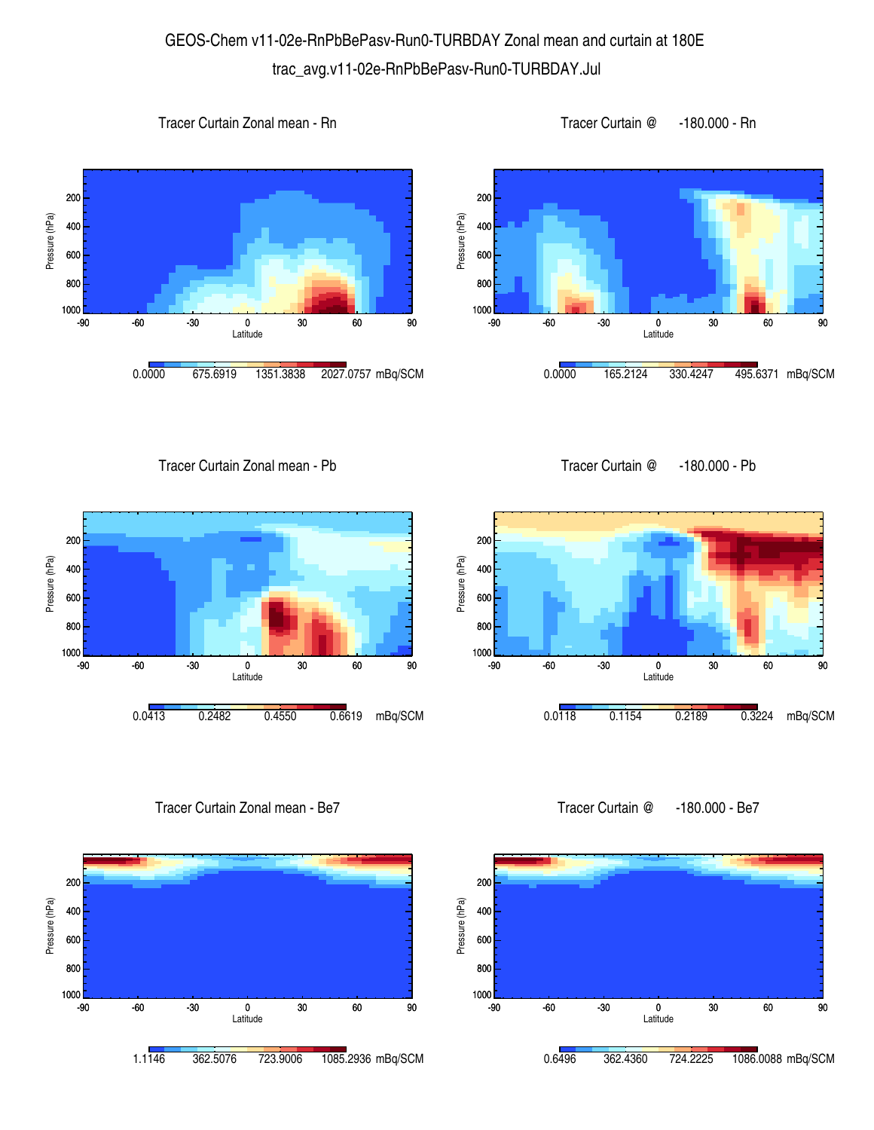## GEOS-Chem v11-02e-RnPbBePasv-Run0-TURBDAY Zonal mean and curtain at 180E trac\_avg.v11-02e-RnPbBePasv-Run0-TURBDAY.Jul

Pressure (hPa)









Tracer Curtain Zonal mean - Pb





Tracer Curtain Zonal mean - Be7



-90 -60 -30 0 30 60 90 Latitude 1000L<br>-90 800 600 400 200 Pressure (hPa) 0.0118 0.1154 0.2189 0.3224 mBq/SCM